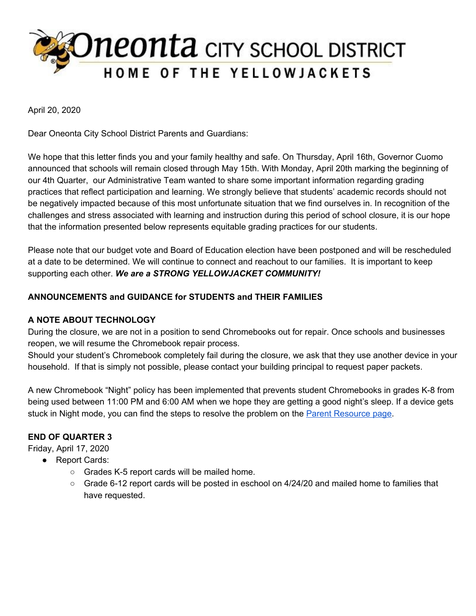

April 20, 2020

Dear Oneonta City School District Parents and Guardians:

We hope that this letter finds you and your family healthy and safe. On Thursday, April 16th, Governor Cuomo announced that schools will remain closed through May 15th. With Monday, April 20th marking the beginning of our 4th Quarter, our Administrative Team wanted to share some important information regarding grading practices that reflect participation and learning. We strongly believe that students' academic records should not be negatively impacted because of this most unfortunate situation that we find ourselves in. In recognition of the challenges and stress associated with learning and instruction during this period of school closure, it is our hope that the information presented below represents equitable grading practices for our students.

Please note that our budget vote and Board of Education election have been postponed and will be rescheduled at a date to be determined. We will continue to connect and reachout to our families. It is important to keep supporting each other. *We are a STRONG YELLOWJACKET COMMUNITY!*

### **ANNOUNCEMENTS and GUIDANCE for STUDENTS and THEIR FAMILIES**

### **A NOTE ABOUT TECHNOLOGY**

During the closure, we are not in a position to send Chromebooks out for repair. Once schools and businesses reopen, we will resume the Chromebook repair process.

Should your student's Chromebook completely fail during the closure, we ask that they use another device in your household. If that is simply not possible, please contact your building principal to request paper packets.

A new Chromebook "Night" policy has been implemented that prevents student Chromebooks in grades K-8 from being used between 11:00 PM and 6:00 AM when we hope they are getting a good night's sleep. If a device gets stuck in Night mode, you can find the steps to resolve the problem on the **Parent [Resource](https://www.oneontacsd.org/ParentResourcesforExtendedSchoolClosure.aspx) page**.

# **END OF QUARTER 3**

Friday, April 17, 2020

- Report Cards:
	- Grades K-5 report cards will be mailed home.
	- Grade 6-12 report cards will be posted in eschool on 4/24/20 and mailed home to families that have requested.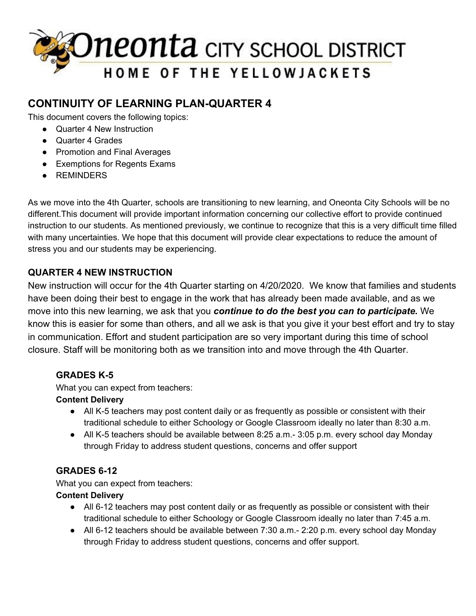

# **CONTINUITY OF LEARNING PLAN-QUARTER 4**

This document covers the following topics:

- Quarter 4 New Instruction
- Quarter 4 Grades
- Promotion and Final Averages
- Exemptions for Regents Exams
- REMINDERS

As we move into the 4th Quarter, schools are transitioning to new learning, and Oneonta City Schools will be no different.This document will provide important information concerning our collective effort to provide continued instruction to our students. As mentioned previously, we continue to recognize that this is a very difficult time filled with many uncertainties. We hope that this document will provide clear expectations to reduce the amount of stress you and our students may be experiencing.

# **QUARTER 4 NEW INSTRUCTION**

New instruction will occur for the 4th Quarter starting on 4/20/2020. We know that families and students have been doing their best to engage in the work that has already been made available, and as we move into this new learning, we ask that you *continue to do the best you can to participate.* We know this is easier for some than others, and all we ask is that you give it your best effort and try to stay in communication. Effort and student participation are so very important during this time of school closure. Staff will be monitoring both as we transition into and move through the 4th Quarter.

# **GRADES K-5**

What you can expect from teachers:

# **Content Delivery**

- **●** All K-5 teachers may post content daily or as frequently as possible or consistent with their traditional schedule to either Schoology or Google Classroom ideally no later than 8:30 a.m.
- All K-5 teachers should be available between 8:25 a.m. 3:05 p.m. every school day Monday through Friday to address student questions, concerns and offer support

# **GRADES 6-12**

What you can expect from teachers:

### **Content Delivery**

- **●** All 6-12 teachers may post content daily or as frequently as possible or consistent with their traditional schedule to either Schoology or Google Classroom ideally no later than 7:45 a.m.
- All 6-12 teachers should be available between 7:30 a.m.- 2:20 p.m. every school day Monday through Friday to address student questions, concerns and offer support.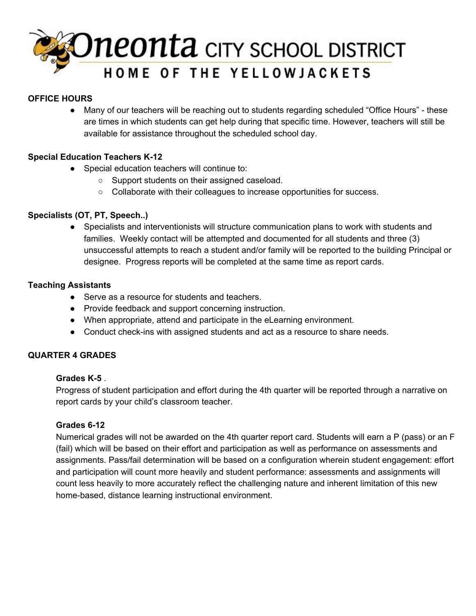

### **OFFICE HOURS**

● Many of our teachers will be reaching out to students regarding scheduled "Office Hours" - these are times in which students can get help during that specific time. However, teachers will still be available for assistance throughout the scheduled school day.

### **Special Education Teachers K-12**

- Special education teachers will continue to:
	- Support students on their assigned caseload.
	- Collaborate with their colleagues to increase opportunities for success.

### **Specialists (OT, PT, Speech..)**

● Specialists and interventionists will structure communication plans to work with students and families. Weekly contact will be attempted and documented for all students and three (3) unsuccessful attempts to reach a student and/or family will be reported to the building Principal or designee. Progress reports will be completed at the same time as report cards.

### **Teaching Assistants**

- Serve as a resource for students and teachers.
- Provide feedback and support concerning instruction.
- When appropriate, attend and participate in the eLearning environment.
- Conduct check-ins with assigned students and act as a resource to share needs.

### **QUARTER 4 GRADES**

### **Grades K-5** .

Progress of student participation and effort during the 4th quarter will be reported through a narrative on report cards by your child's classroom teacher.

### **Grades 6-12**

Numerical grades will not be awarded on the 4th quarter report card. Students will earn a P (pass) or an F (fail) which will be based on their effort and participation as well as performance on assessments and assignments. Pass/fail determination will be based on a configuration wherein student engagement: effort and participation will count more heavily and student performance: assessments and assignments will count less heavily to more accurately reflect the challenging nature and inherent limitation of this new home-based, distance learning instructional environment.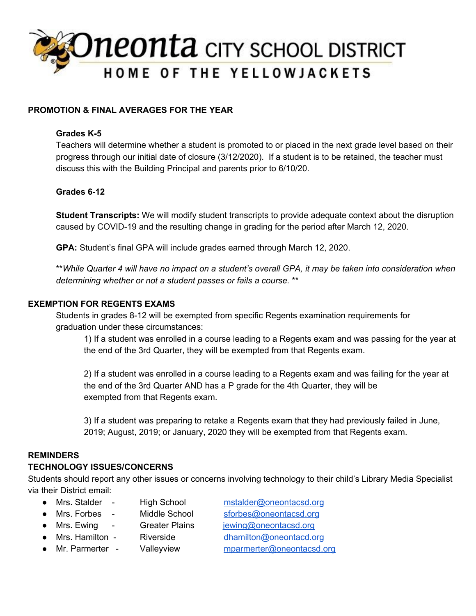

### **PROMOTION & FINAL AVERAGES FOR THE YEAR**

### **Grades K-5**

Teachers will determine whether a student is promoted to or placed in the next grade level based on their progress through our initial date of closure (3/12/2020). If a student is to be retained, the teacher must discuss this with the Building Principal and parents prior to 6/10/20.

### **Grades 6-12**

**Student Transcripts:** We will modify student transcripts to provide adequate context about the disruption caused by COVID-19 and the resulting change in grading for the period after March 12, 2020.

**GPA:** Student's final GPA will include grades earned through March 12, 2020.

\*\* While Quarter 4 will have no impact on a student's overall GPA, it may be taken into consideration when *determining whether or not a student passes or fails a course.* \*\*

### **EXEMPTION FOR REGENTS EXAMS**

Students in grades 8-12 will be exempted from specific Regents examination requirements for graduation under these circumstances:

1) If a student was enrolled in a course leading to a Regents exam and was passing for the year at the end of the 3rd Quarter, they will be exempted from that Regents exam.

2) If a student was enrolled in a course leading to a Regents exam and was failing for the year at the end of the 3rd Quarter AND has a P grade for the 4th Quarter, they will be exempted from that Regents exam.

3) If a student was preparing to retake a Regents exam that they had previously failed in June, 2019; August, 2019; or January, 2020 they will be exempted from that Regents exam.

### **REMINDERS**

### **TECHNOLOGY ISSUES/CONCERNS**

Students should report any other issues or concerns involving technology to their child's Library Media Specialist via their District email:

● Mrs. Stalder - High School [mstalder@oneontacsd.org](mailto:mstalder@oneontacsd.org)

● Mrs. Forbes - Middle School [sforbes@oneontacsd.org](mailto:sforbes@oneontacsd.org)

● Mrs. Ewing - Greater Plains [jewing@oneontacsd.org](mailto:jewing@oneontacsd.org)

● Mrs. Hamilton - Riverside [dhamilton@oneontacd.org](mailto:dhamilton@oneontacd.org)

- 
- 
- Mr. Parmerter Valleyview [mparmerter@oneontacsd.org](mailto:mparmerter@oneontacsd.org)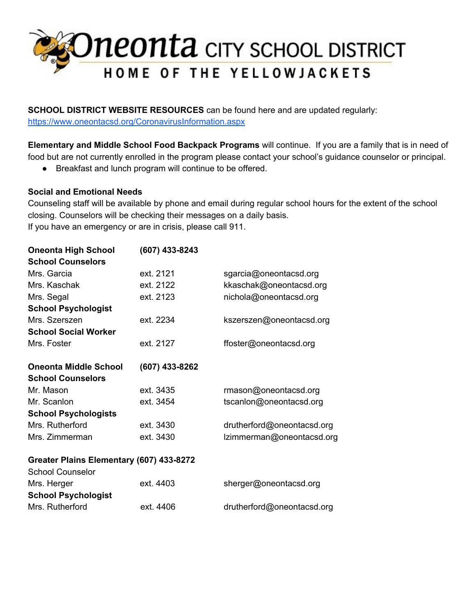# Oneonta CITY SCHOOL DISTRICT

**SCHOOL DISTRICT WEBSITE RESOURCES** can be found here and are updated regularly: <https://www.oneontacsd.org/CoronavirusInformation.aspx>

**Elementary and Middle School Food Backpack Programs** will continue. If you are a family that is in need of food but are not currently enrolled in the program please contact your school's guidance counselor or principal.

● Breakfast and lunch program will continue to be offered.

### **Social and Emotional Needs**

Counseling staff will be available by phone and email during regular school hours for the extent of the school closing. Counselors will be checking their messages on a daily basis. If you have an emergency or are in crisis, please call 911.

| (607) 433-8243                           |                            |  |
|------------------------------------------|----------------------------|--|
|                                          |                            |  |
| ext. 2121                                | sgarcia@oneontacsd.org     |  |
| ext. 2122                                | kkaschak@oneontacsd.org    |  |
| ext. 2123                                | nichola@oneontacsd.org     |  |
|                                          |                            |  |
| ext. 2234                                | kszerszen@oneontacsd.org   |  |
|                                          |                            |  |
| ext. 2127                                | ffoster@oneontacsd.org     |  |
| (607) 433-8262                           |                            |  |
|                                          |                            |  |
| ext. 3435                                | rmason@oneontacsd.org      |  |
| ext. 3454                                | tscanlon@oneontacsd.org    |  |
|                                          |                            |  |
| ext. 3430                                | drutherford@oneontacsd.org |  |
| ext. 3430                                | Izimmerman@oneontacsd.org  |  |
| Greater Plains Elementary (607) 433-8272 |                            |  |
|                                          |                            |  |
| ext. 4403                                | sherger@oneontacsd.org     |  |
|                                          |                            |  |
| ext. 4406                                | drutherford@oneontacsd.org |  |
|                                          |                            |  |